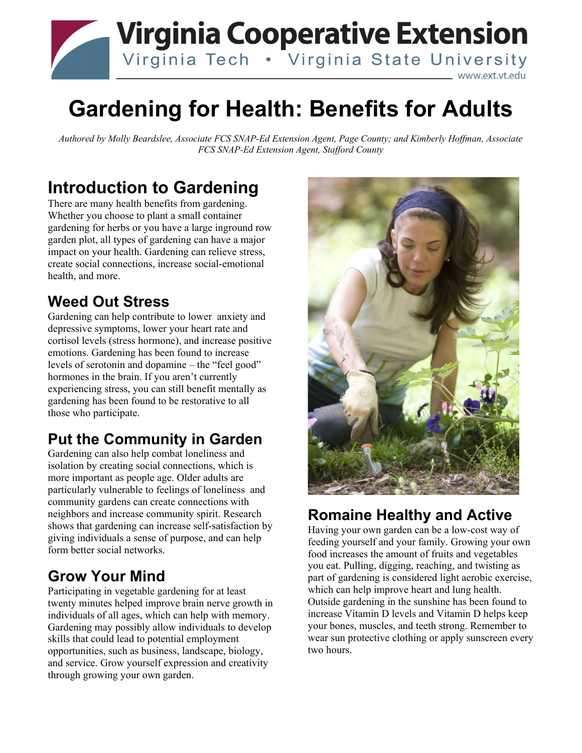## **Virginia Cooperative Extension** Virginia Tech . Virginia State University www.ext.vt.edu

# **Gardening for Health: Benefits for Adults**

*Authored by Molly Beardslee, Associate FCS SNAP-Ed Extension Agent, Page County; and Kimberly Hoffman, Associate FCS SNAP-Ed Extension Agent, Stafford County*

## **Introduction to Gardening**

There are many health benefits from gardening. Whether you choose to plant a small container gardening for herbs or you have a large inground row garden plot, all types of gardening can have a major impact on your health. Gardening can relieve stress, create social connections, increase social-emotional health, and more.

#### **Weed Out Stress**

Gardening can help contribute to lower anxiety and depressive symptoms, lower your heart rate and cortisol levels (stress hormone), and increase positive emotions. Gardening has been found to increase levels of serotonin and dopamine – the "feel good" hormones in the brain. If you aren't currently experiencing stress, you can still benefit mentally as gardening has been found to be restorative to all those who participate.

#### **Put the Community in Garden**

Gardening can also help combat loneliness and isolation by creating social connections, which is more important as people age. Older adults are particularly vulnerable to feelings of loneliness and community gardens can create connections with neighbors and increase community spirit. Research shows that gardening can increase self-satisfaction by giving individuals a sense of purpose, and can help form better social networks.

### **Grow Your Mind**

Participating in vegetable gardening for at least twenty minutes helped improve brain nerve growth in individuals of all ages, which can help with memory. Gardening may possibly allow individuals to develop skills that could lead to potential employment opportunities, such as business, landscape, biology, and service. Grow yourself expression and creativity through growing your own garden.



### **Romaine Healthy and Active**

Having your own garden can be a low-cost way of feeding yourself and your family. Growing your own food increases the amount of fruits and vegetables you eat. Pulling, digging, reaching, and twisting as part of gardening is considered light aerobic exercise, which can help improve heart and lung health. Outside gardening in the sunshine has been found to increase Vitamin D levels and Vitamin D helps keep your bones, muscles, and teeth strong. Remember to wear sun protective clothing or apply sunscreen every two hours.